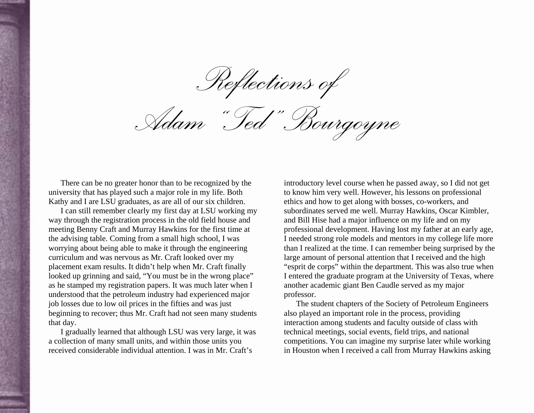*Reflections of* 

*Adam "Ted" Bourgoyne* 

There can be no greater honor than to be recognized by the university that has played such a major role in my life. Both Kathy and I are LSU graduates, as are all of our six children.

I can still remember clearly my first day at LSU working my way through the registration process in the old field house and meeting Benny Craft and Murray Hawkins for the first time at the advising table. Coming from a small high school, I was worrying about being able to make it through the engineering curriculum and was nervous as Mr. Craft looked over my placement exam results. It didn't help when Mr. Craft finally looked up grinning and said, "You must be in the wrong place" as he stamped my registration papers. It was much later when I understood that the petroleum industry had experienced major job losses due to low oil prices in the fifties and was just beginning to recover; thus Mr. Craft had not seen many students that day.

I gradually learned that although LSU was very large, it was a collection of many small units, and within those units you received considerable individual attention. I was in Mr. Craft's

introductory level course when he passed away, so I did not get to know him very well. However, his lessons on professional ethics and how to get along with bosses, co-workers, and subordinates served me well. Murray Hawkins, Oscar Kimbler, and Bill Hise had a major influence on my life and on my professional development. Having lost my father at an early age, I needed strong role models and mentors in my college life more than I realized at the time. I can remember being surprised by the large amount of personal attention that I received and the high "esprit de corps" within the department. This was also true when I entered the graduate program at the University of Texas, where another academic giant Ben Caudle served as my major professor.

The student chapters of the Society of Petroleum Engineers also played an important role in the process, providing interaction among students and faculty outside of class with technical meetings, social events, field trips, and national competitions. You can imagine my surprise later while working in Houston when I received a call from Murray Hawkins asking